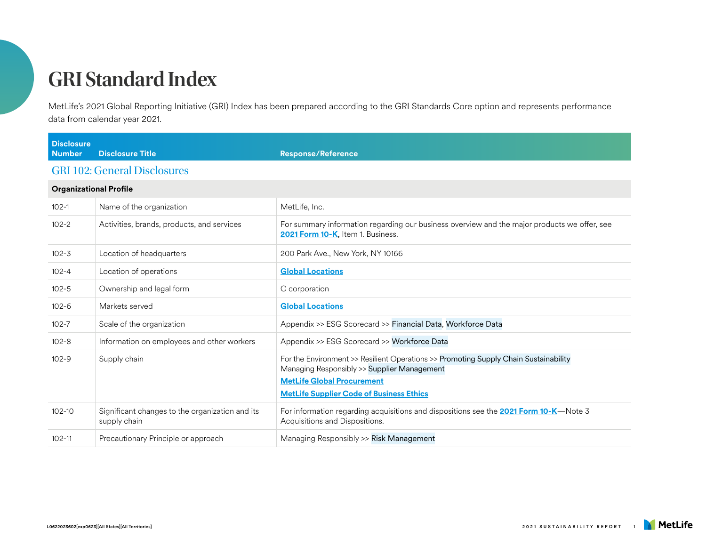MetLife's 2021 Global Reporting Initiative (GRI) Index has been prepared according to the GRI Standards Core option and represents performance data from calendar year 2021.

| <b>Disclosure</b><br><b>Number</b> | <b>Disclosure Title</b>                                         | <b>Response/Reference</b>                                                                                                                                                                                                   |
|------------------------------------|-----------------------------------------------------------------|-----------------------------------------------------------------------------------------------------------------------------------------------------------------------------------------------------------------------------|
|                                    | <b>GRI 102: General Disclosures</b>                             |                                                                                                                                                                                                                             |
| <b>Organizational Profile</b>      |                                                                 |                                                                                                                                                                                                                             |
| $102 - 1$                          | Name of the organization                                        | MetLife, Inc.                                                                                                                                                                                                               |
| $102 - 2$                          | Activities, brands, products, and services                      | For summary information regarding our business overview and the major products we offer, see<br>2021 Form 10-K, Item 1. Business.                                                                                           |
| $102 - 3$                          | Location of headquarters                                        | 200 Park Ave., New York, NY 10166                                                                                                                                                                                           |
| $102 - 4$                          | Location of operations                                          | <b>Global Locations</b>                                                                                                                                                                                                     |
| $102 - 5$                          | Ownership and legal form                                        | C corporation                                                                                                                                                                                                               |
| $102 - 6$                          | Markets served                                                  | <b>Global Locations</b>                                                                                                                                                                                                     |
| $102 - 7$                          | Scale of the organization                                       | Appendix >> ESG Scorecard >> Financial Data, Workforce Data                                                                                                                                                                 |
| $102 - 8$                          | Information on employees and other workers                      | Appendix >> ESG Scorecard >> Workforce Data                                                                                                                                                                                 |
| $102 - 9$                          | Supply chain                                                    | For the Environment >> Resilient Operations >> Promoting Supply Chain Sustainability<br>Managing Responsibly >> Supplier Management<br><b>MetLife Global Procurement</b><br><b>MetLife Supplier Code of Business Ethics</b> |
| $102 - 10$                         | Significant changes to the organization and its<br>supply chain | For information regarding acquisitions and dispositions see the <b>2021 Form 10-K</b> —Note 3<br>Acquisitions and Dispositions.                                                                                             |
| $102 - 11$                         | Precautionary Principle or approach                             | Managing Responsibly >> Risk Management                                                                                                                                                                                     |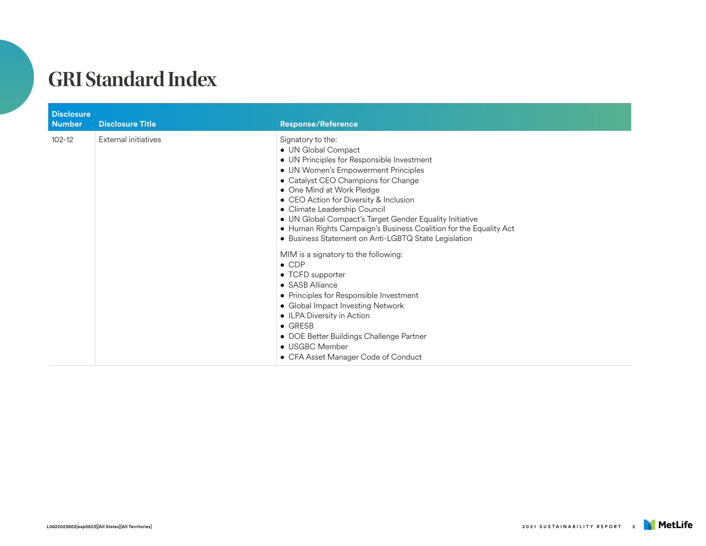| <b>Disclosure</b><br><b>Number</b> | <b>Disclosure Title</b> | <b>Response/Reference</b>                                                                                                                                                                                                                                                                                                                                                                                                                                                                                                                                                                                                                                                                                                                                                                                         |
|------------------------------------|-------------------------|-------------------------------------------------------------------------------------------------------------------------------------------------------------------------------------------------------------------------------------------------------------------------------------------------------------------------------------------------------------------------------------------------------------------------------------------------------------------------------------------------------------------------------------------------------------------------------------------------------------------------------------------------------------------------------------------------------------------------------------------------------------------------------------------------------------------|
| $102 - 12$                         | External initiatives    | Signatory to the:<br>• UN Global Compact<br>• UN Principles for Responsible Investment<br>• UN Women's Empowerment Principles<br>• Catalyst CEO Champions for Change<br>• One Mind at Work Pledge<br>• CEO Action for Diversity & Inclusion<br>• Climate Leadership Council<br>• UN Global Compact's Target Gender Equality Initiative<br>• Human Rights Campaign's Business Coalition for the Equality Act<br>• Business Statement on Anti-LGBTQ State Legislation<br>MIM is a signatory to the following:<br>$\bullet$ CDP<br>• TCFD supporter<br>$\bullet$ SASB Alliance<br>• Principles for Responsible Investment<br>• Global Impact Investing Network<br>• ILPA Diversity in Action<br>$\bullet$ GRESB<br>• DOE Better Buildings Challenge Partner<br>• USGBC Member<br>• CFA Asset Manager Code of Conduct |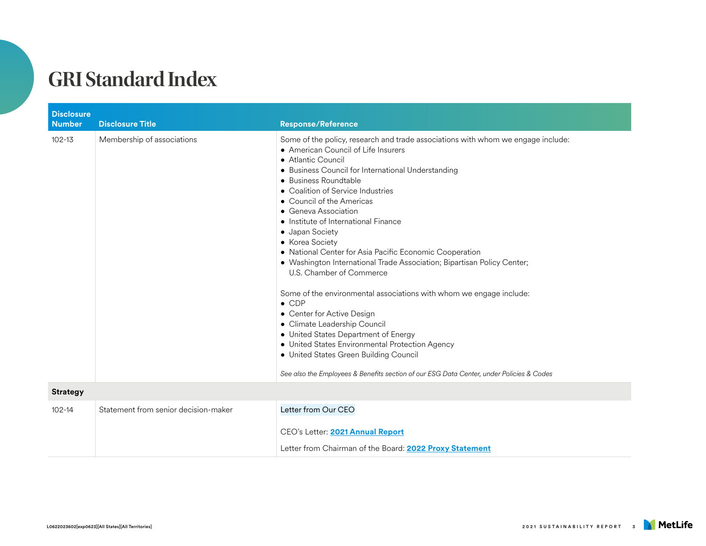| <b>Disclosure</b><br><b>Number</b> | <b>Disclosure Title</b>              | <b>Response/Reference</b>                                                                                                                                                                                                                                                                                                                                                                                                                                                                                                                                                                                                                                                                                                                                                                                                                                                                                                                                     |
|------------------------------------|--------------------------------------|---------------------------------------------------------------------------------------------------------------------------------------------------------------------------------------------------------------------------------------------------------------------------------------------------------------------------------------------------------------------------------------------------------------------------------------------------------------------------------------------------------------------------------------------------------------------------------------------------------------------------------------------------------------------------------------------------------------------------------------------------------------------------------------------------------------------------------------------------------------------------------------------------------------------------------------------------------------|
| $102 - 13$                         | Membership of associations           | Some of the policy, research and trade associations with whom we engage include:<br>• American Council of Life Insurers<br>• Atlantic Council<br>• Business Council for International Understanding<br>• Business Roundtable<br>• Coalition of Service Industries<br>• Council of the Americas<br>• Geneva Association<br>• Institute of International Finance<br>• Japan Society<br>• Korea Society<br>• National Center for Asia Pacific Economic Cooperation<br>· Washington International Trade Association; Bipartisan Policy Center;<br>U.S. Chamber of Commerce<br>Some of the environmental associations with whom we engage include:<br>$\bullet$ CDP<br>• Center for Active Design<br>• Climate Leadership Council<br>• United States Department of Energy<br>• United States Environmental Protection Agency<br>• United States Green Building Council<br>See also the Employees & Benefits section of our ESG Data Center, under Policies & Codes |
| <b>Strategy</b>                    |                                      |                                                                                                                                                                                                                                                                                                                                                                                                                                                                                                                                                                                                                                                                                                                                                                                                                                                                                                                                                               |
| $102 - 14$                         | Statement from senior decision-maker | Letter from Our CEO<br>CEO's Letter: 2021 Annual Report<br>Letter from Chairman of the Board: 2022 Proxy Statement                                                                                                                                                                                                                                                                                                                                                                                                                                                                                                                                                                                                                                                                                                                                                                                                                                            |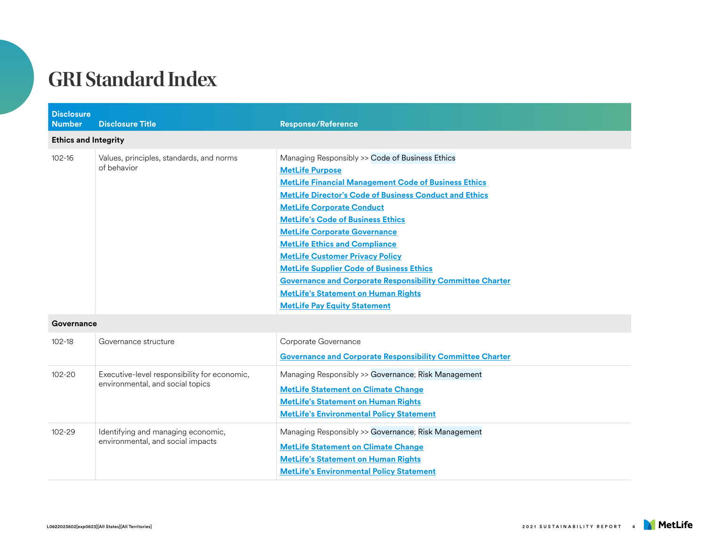| <b>Disclosure</b><br><b>Number</b> | <b>Disclosure Title</b>                                                          | <b>Response/Reference</b>                                                                                                                                                                                                                                                                                                                                                                                                                                                                                                                                                                                                      |
|------------------------------------|----------------------------------------------------------------------------------|--------------------------------------------------------------------------------------------------------------------------------------------------------------------------------------------------------------------------------------------------------------------------------------------------------------------------------------------------------------------------------------------------------------------------------------------------------------------------------------------------------------------------------------------------------------------------------------------------------------------------------|
| <b>Ethics and Integrity</b>        |                                                                                  |                                                                                                                                                                                                                                                                                                                                                                                                                                                                                                                                                                                                                                |
| $102 - 16$                         | Values, principles, standards, and norms<br>of behavior                          | Managing Responsibly >> Code of Business Ethics<br><b>MetLife Purpose</b><br><b>MetLife Financial Management Code of Business Ethics</b><br><b>MetLife Director's Code of Business Conduct and Ethics</b><br><b>MetLife Corporate Conduct</b><br><b>MetLife's Code of Business Ethics</b><br><b>MetLife Corporate Governance</b><br><b>MetLife Ethics and Compliance</b><br><b>MetLife Customer Privacy Policy</b><br><b>MetLife Supplier Code of Business Ethics</b><br><b>Governance and Corporate Responsibility Committee Charter</b><br><b>MetLife's Statement on Human Rights</b><br><b>MetLife Pay Equity Statement</b> |
| Governance                         |                                                                                  |                                                                                                                                                                                                                                                                                                                                                                                                                                                                                                                                                                                                                                |
| $102 - 18$                         | Governance structure                                                             | Corporate Governance<br><b>Governance and Corporate Responsibility Committee Charter</b>                                                                                                                                                                                                                                                                                                                                                                                                                                                                                                                                       |
| $102 - 20$                         | Executive-level responsibility for economic,<br>environmental, and social topics | Managing Responsibly >> Governance; Risk Management<br><b>MetLife Statement on Climate Change</b><br><b>MetLife's Statement on Human Rights</b><br><b>MetLife's Environmental Policy Statement</b>                                                                                                                                                                                                                                                                                                                                                                                                                             |
| $102 - 29$                         | Identifying and managing economic,<br>environmental, and social impacts          | Managing Responsibly >> Governance; Risk Management<br><b>MetLife Statement on Climate Change</b><br><b>MetLife's Statement on Human Rights</b><br><b>MetLife's Environmental Policy Statement</b>                                                                                                                                                                                                                                                                                                                                                                                                                             |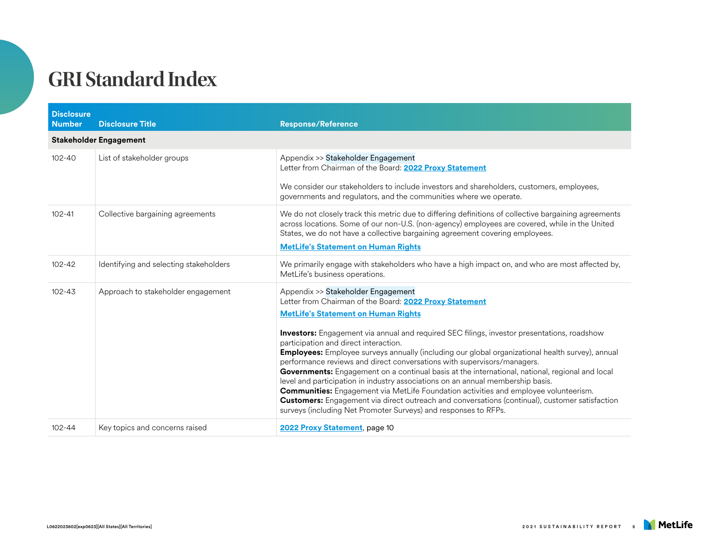| <b>Disclosure</b><br><b>Number</b> | <b>Disclosure Title</b>                | <b>Response/Reference</b>                                                                                                                                                                                                                                                                                                                                                                                                                                                                                                                                                                                                                                                                                                                                                                                                                                                                                                                  |
|------------------------------------|----------------------------------------|--------------------------------------------------------------------------------------------------------------------------------------------------------------------------------------------------------------------------------------------------------------------------------------------------------------------------------------------------------------------------------------------------------------------------------------------------------------------------------------------------------------------------------------------------------------------------------------------------------------------------------------------------------------------------------------------------------------------------------------------------------------------------------------------------------------------------------------------------------------------------------------------------------------------------------------------|
|                                    | <b>Stakeholder Engagement</b>          |                                                                                                                                                                                                                                                                                                                                                                                                                                                                                                                                                                                                                                                                                                                                                                                                                                                                                                                                            |
| $102 - 40$                         | List of stakeholder groups             | Appendix >> Stakeholder Engagement<br>Letter from Chairman of the Board: 2022 Proxy Statement<br>We consider our stakeholders to include investors and shareholders, customers, employees,<br>governments and regulators, and the communities where we operate.                                                                                                                                                                                                                                                                                                                                                                                                                                                                                                                                                                                                                                                                            |
| $102 - 41$                         | Collective bargaining agreements       | We do not closely track this metric due to differing definitions of collective bargaining agreements<br>across locations. Some of our non-U.S. (non-agency) employees are covered, while in the United<br>States, we do not have a collective bargaining agreement covering employees.<br><b>MetLife's Statement on Human Rights</b>                                                                                                                                                                                                                                                                                                                                                                                                                                                                                                                                                                                                       |
| $102 - 42$                         | Identifying and selecting stakeholders | We primarily engage with stakeholders who have a high impact on, and who are most affected by,<br>MetLife's business operations.                                                                                                                                                                                                                                                                                                                                                                                                                                                                                                                                                                                                                                                                                                                                                                                                           |
| $102 - 43$                         | Approach to stakeholder engagement     | Appendix >> Stakeholder Engagement<br>Letter from Chairman of the Board: 2022 Proxy Statement<br><b>MetLife's Statement on Human Rights</b><br><b>Investors:</b> Engagement via annual and required SEC filings, investor presentations, roadshow<br>participation and direct interaction.<br>Employees: Employee surveys annually (including our global organizational health survey), annual<br>performance reviews and direct conversations with supervisors/managers.<br>Governments: Engagement on a continual basis at the international, national, regional and local<br>level and participation in industry associations on an annual membership basis.<br><b>Communities:</b> Engagement via MetLife Foundation activities and employee volunteerism.<br><b>Customers:</b> Engagement via direct outreach and conversations (continual), customer satisfaction<br>surveys (including Net Promoter Surveys) and responses to RFPs. |
| $102 - 44$                         | Key topics and concerns raised         | 2022 Proxy Statement, page 10                                                                                                                                                                                                                                                                                                                                                                                                                                                                                                                                                                                                                                                                                                                                                                                                                                                                                                              |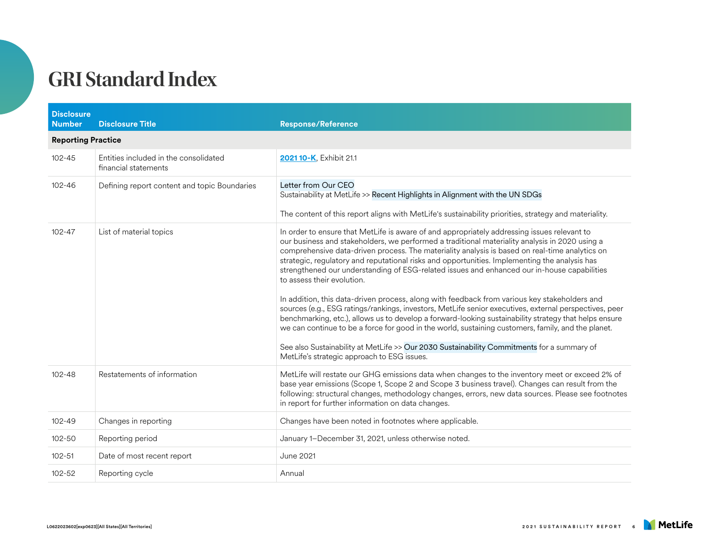| <b>Disclosure</b><br><b>Number</b> | <b>Disclosure Title</b>                                       | <b>Response/Reference</b>                                                                                                                                                                                                                                                                                                                                                                                                                                                                                                                                                                                                                                                                                                                                                                                                                                                                                                                                                                                                                                                                           |
|------------------------------------|---------------------------------------------------------------|-----------------------------------------------------------------------------------------------------------------------------------------------------------------------------------------------------------------------------------------------------------------------------------------------------------------------------------------------------------------------------------------------------------------------------------------------------------------------------------------------------------------------------------------------------------------------------------------------------------------------------------------------------------------------------------------------------------------------------------------------------------------------------------------------------------------------------------------------------------------------------------------------------------------------------------------------------------------------------------------------------------------------------------------------------------------------------------------------------|
| <b>Reporting Practice</b>          |                                                               |                                                                                                                                                                                                                                                                                                                                                                                                                                                                                                                                                                                                                                                                                                                                                                                                                                                                                                                                                                                                                                                                                                     |
| $102 - 45$                         | Entities included in the consolidated<br>financial statements | 2021 10-K, Exhibit 21.1                                                                                                                                                                                                                                                                                                                                                                                                                                                                                                                                                                                                                                                                                                                                                                                                                                                                                                                                                                                                                                                                             |
| $102 - 46$                         | Defining report content and topic Boundaries                  | Letter from Our CEO<br>Sustainability at MetLife >> Recent Highlights in Alignment with the UN SDGs                                                                                                                                                                                                                                                                                                                                                                                                                                                                                                                                                                                                                                                                                                                                                                                                                                                                                                                                                                                                 |
|                                    |                                                               | The content of this report aligns with MetLife's sustainability priorities, strategy and materiality.                                                                                                                                                                                                                                                                                                                                                                                                                                                                                                                                                                                                                                                                                                                                                                                                                                                                                                                                                                                               |
| $102 - 47$                         | List of material topics                                       | In order to ensure that MetLife is aware of and appropriately addressing issues relevant to<br>our business and stakeholders, we performed a traditional materiality analysis in 2020 using a<br>comprehensive data-driven process. The materiality analysis is based on real-time analytics on<br>strategic, regulatory and reputational risks and opportunities. Implementing the analysis has<br>strengthened our understanding of ESG-related issues and enhanced our in-house capabilities<br>to assess their evolution.<br>In addition, this data-driven process, along with feedback from various key stakeholders and<br>sources (e.g., ESG ratings/rankings, investors, MetLife senior executives, external perspectives, peer<br>benchmarking, etc.), allows us to develop a forward-looking sustainability strategy that helps ensure<br>we can continue to be a force for good in the world, sustaining customers, family, and the planet.<br>See also Sustainability at MetLife >> Our 2030 Sustainability Commitments for a summary of<br>MetLife's strategic approach to ESG issues. |
| $102 - 48$                         | Restatements of information                                   | MetLife will restate our GHG emissions data when changes to the inventory meet or exceed 2% of<br>base year emissions (Scope 1, Scope 2 and Scope 3 business travel). Changes can result from the<br>following: structural changes, methodology changes, errors, new data sources. Please see footnotes<br>in report for further information on data changes.                                                                                                                                                                                                                                                                                                                                                                                                                                                                                                                                                                                                                                                                                                                                       |
| $102 - 49$                         | Changes in reporting                                          | Changes have been noted in footnotes where applicable.                                                                                                                                                                                                                                                                                                                                                                                                                                                                                                                                                                                                                                                                                                                                                                                                                                                                                                                                                                                                                                              |
| $102 - 50$                         | Reporting period                                              | January 1-December 31, 2021, unless otherwise noted.                                                                                                                                                                                                                                                                                                                                                                                                                                                                                                                                                                                                                                                                                                                                                                                                                                                                                                                                                                                                                                                |
| $102 - 51$                         | Date of most recent report                                    | June 2021                                                                                                                                                                                                                                                                                                                                                                                                                                                                                                                                                                                                                                                                                                                                                                                                                                                                                                                                                                                                                                                                                           |
| $102 - 52$                         | Reporting cycle                                               | Annual                                                                                                                                                                                                                                                                                                                                                                                                                                                                                                                                                                                                                                                                                                                                                                                                                                                                                                                                                                                                                                                                                              |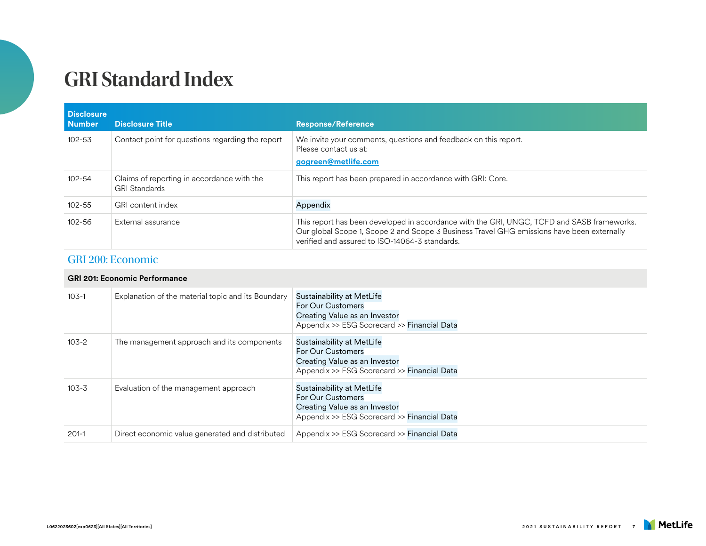| <b>Disclosure</b><br><b>Number</b> | <b>Disclosure Title</b>                                            | <b>Response/Reference</b>                                                                                                                                                                                                                  |
|------------------------------------|--------------------------------------------------------------------|--------------------------------------------------------------------------------------------------------------------------------------------------------------------------------------------------------------------------------------------|
| $102 - 53$                         | Contact point for questions regarding the report                   | We invite your comments, questions and feedback on this report.<br>Please contact us at:<br>gogreen@metlife.com                                                                                                                            |
| $102 - 54$                         | Claims of reporting in accordance with the<br><b>GRI Standards</b> | This report has been prepared in accordance with GRI: Core.                                                                                                                                                                                |
| $102 - 55$                         | GRI content index                                                  | Appendix                                                                                                                                                                                                                                   |
| $102 - 56$                         | External assurance                                                 | This report has been developed in accordance with the GRI, UNGC, TCFD and SASB frameworks.<br>Our global Scope 1, Scope 2 and Scope 3 Business Travel GHG emissions have been externally<br>verified and assured to ISO-14064-3 standards. |

#### GRI 200: Economic

#### **GRI 201: Economic Performance**

| $103-1$   | Explanation of the material topic and its Boundary | Sustainability at MetLife<br>For Our Customers<br>Creating Value as an Investor<br>Appendix >> ESG Scorecard >> Financial Data        |
|-----------|----------------------------------------------------|---------------------------------------------------------------------------------------------------------------------------------------|
| $103 - 2$ | The management approach and its components         | Sustainability at MetLife<br><b>For Our Customers</b><br>Creating Value as an Investor<br>Appendix >> ESG Scorecard >> Financial Data |
| $103 - 3$ | Evaluation of the management approach              | Sustainability at MetLife<br>For Our Customers<br>Creating Value as an Investor<br>Appendix >> ESG Scorecard >> Financial Data        |
| $201-1$   | Direct economic value generated and distributed    | Appendix >> ESG Scorecard >> Financial Data                                                                                           |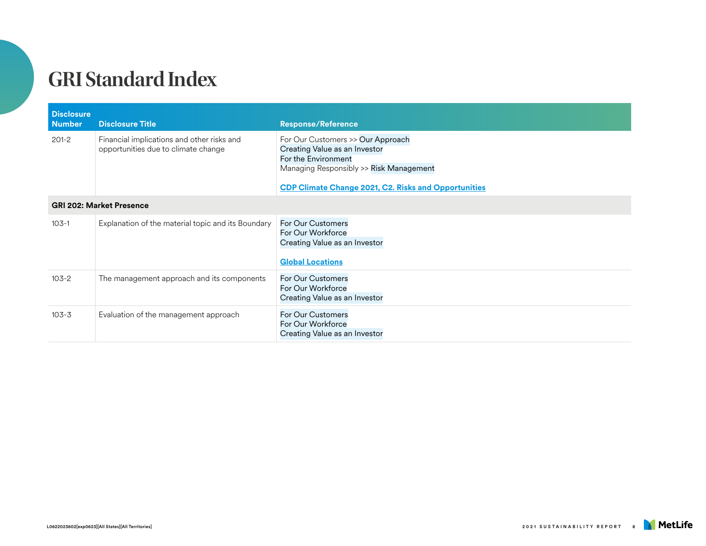| <b>Disclosure</b><br><b>Number</b> | <b>Disclosure Title</b>                                                           | <b>Response/Reference</b>                                                                                                                                                                           |
|------------------------------------|-----------------------------------------------------------------------------------|-----------------------------------------------------------------------------------------------------------------------------------------------------------------------------------------------------|
| $201 - 2$                          | Financial implications and other risks and<br>opportunities due to climate change | For Our Customers >> Our Approach<br>Creating Value as an Investor<br>For the Environment<br>Managing Responsibly >> Risk Management<br><b>CDP Climate Change 2021, C2. Risks and Opportunities</b> |
| <b>GRI 202: Market Presence</b>    |                                                                                   |                                                                                                                                                                                                     |
| $103-1$                            | Explanation of the material topic and its Boundary                                | <b>For Our Customers</b><br>For Our Workforce<br>Creating Value as an Investor<br><b>Global Locations</b>                                                                                           |
| $103 - 2$                          | The management approach and its components                                        | <b>For Our Customers</b><br>For Our Workforce<br>Creating Value as an Investor                                                                                                                      |
| $103 - 3$                          | Evaluation of the management approach                                             | <b>For Our Customers</b><br>For Our Workforce<br>Creating Value as an Investor                                                                                                                      |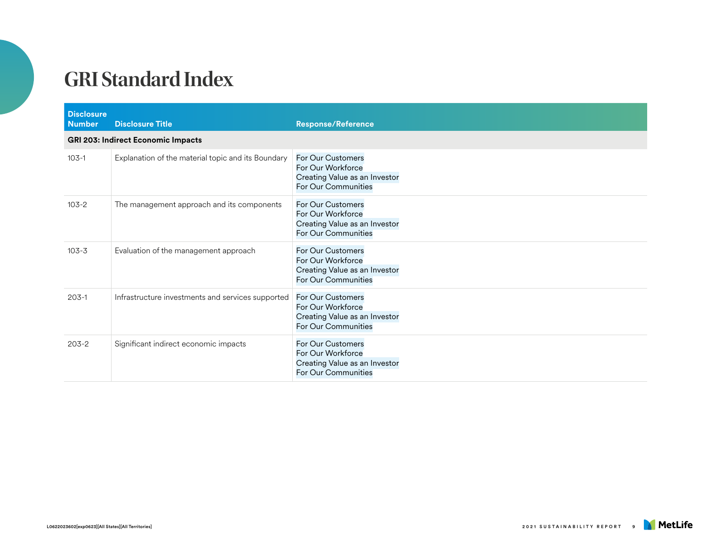| <b>Disclosure</b><br><b>Number</b> | <b>Disclosure Title</b>                            | <b>Response/Reference</b>                                                                             |
|------------------------------------|----------------------------------------------------|-------------------------------------------------------------------------------------------------------|
|                                    | <b>GRI 203: Indirect Economic Impacts</b>          |                                                                                                       |
| $103 - 1$                          | Explanation of the material topic and its Boundary | For Our Customers<br>For Our Workforce<br>Creating Value as an Investor<br>For Our Communities        |
| $103 - 2$                          | The management approach and its components         | For Our Customers<br>For Our Workforce<br>Creating Value as an Investor<br>For Our Communities        |
| $103 - 3$                          | Evaluation of the management approach              | <b>For Our Customers</b><br>For Our Workforce<br>Creating Value as an Investor<br>For Our Communities |
| $203-1$                            | Infrastructure investments and services supported  | For Our Customers<br>For Our Workforce<br>Creating Value as an Investor<br>For Our Communities        |
| $203-2$                            | Significant indirect economic impacts              | For Our Customers<br>For Our Workforce<br>Creating Value as an Investor<br>For Our Communities        |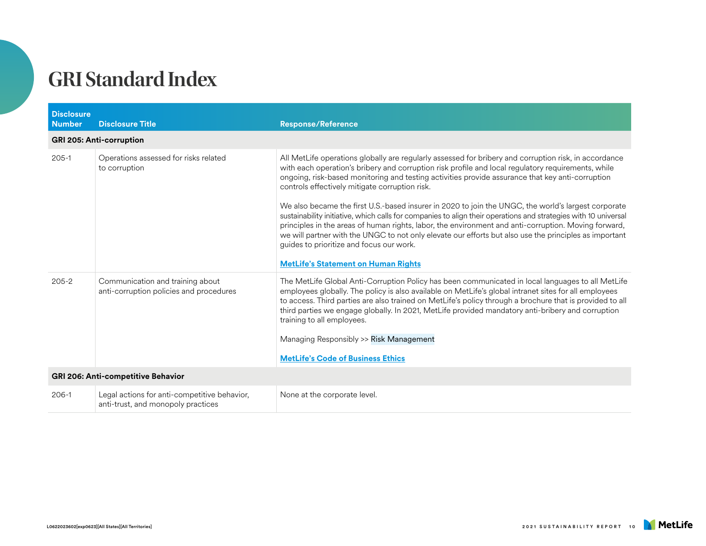| <b>Disclosure</b><br><b>Number</b> | <b>Disclosure Title</b>                                                            | <b>Response/Reference</b>                                                                                                                                                                                                                                                                                                                                                                                                                                                                                                                                                                                                                                                                                                                                                                                                                                                                               |
|------------------------------------|------------------------------------------------------------------------------------|---------------------------------------------------------------------------------------------------------------------------------------------------------------------------------------------------------------------------------------------------------------------------------------------------------------------------------------------------------------------------------------------------------------------------------------------------------------------------------------------------------------------------------------------------------------------------------------------------------------------------------------------------------------------------------------------------------------------------------------------------------------------------------------------------------------------------------------------------------------------------------------------------------|
|                                    | <b>GRI 205: Anti-corruption</b>                                                    |                                                                                                                                                                                                                                                                                                                                                                                                                                                                                                                                                                                                                                                                                                                                                                                                                                                                                                         |
| $205-1$                            | Operations assessed for risks related<br>to corruption                             | All MetLife operations globally are regularly assessed for bribery and corruption risk, in accordance<br>with each operation's bribery and corruption risk profile and local regulatory requirements, while<br>ongoing, risk-based monitoring and testing activities provide assurance that key anti-corruption<br>controls effectively mitigate corruption risk.<br>We also became the first U.S.-based insurer in 2020 to join the UNGC, the world's largest corporate<br>sustainability initiative, which calls for companies to align their operations and strategies with 10 universal<br>principles in the areas of human rights, labor, the environment and anti-corruption. Moving forward,<br>we will partner with the UNGC to not only elevate our efforts but also use the principles as important<br>guides to prioritize and focus our work.<br><b>MetLife's Statement on Human Rights</b> |
| $205 - 2$                          | Communication and training about<br>anti-corruption policies and procedures        | The MetLife Global Anti-Corruption Policy has been communicated in local languages to all MetLife<br>employees globally. The policy is also available on MetLife's global intranet sites for all employees<br>to access. Third parties are also trained on MetLife's policy through a brochure that is provided to all<br>third parties we engage globally. In 2021, MetLife provided mandatory anti-bribery and corruption<br>training to all employees.<br>Managing Responsibly >> Risk Management<br><b>MetLife's Code of Business Ethics</b>                                                                                                                                                                                                                                                                                                                                                        |
| GRI 206: Anti-competitive Behavior |                                                                                    |                                                                                                                                                                                                                                                                                                                                                                                                                                                                                                                                                                                                                                                                                                                                                                                                                                                                                                         |
| $206-1$                            | Legal actions for anti-competitive behavior,<br>anti-trust, and monopoly practices | None at the corporate level.                                                                                                                                                                                                                                                                                                                                                                                                                                                                                                                                                                                                                                                                                                                                                                                                                                                                            |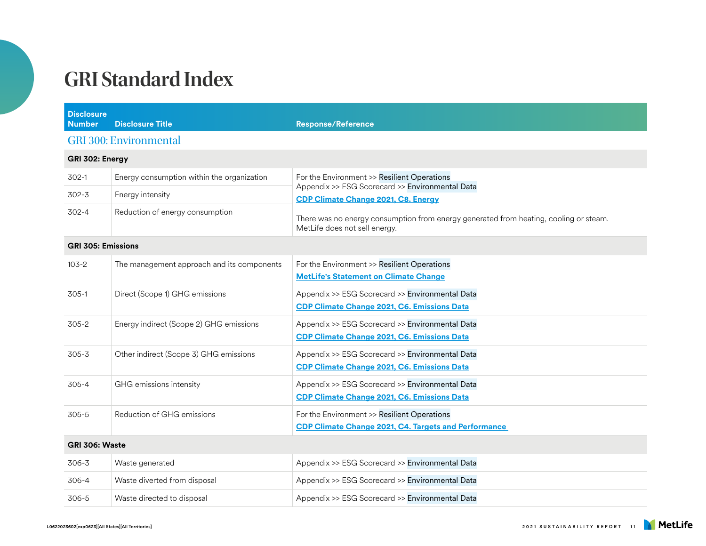| <b>Disclosure</b><br><b>Number</b> | <b>Disclosure Title</b>                    | <b>Response/Reference</b>                                                                                              |
|------------------------------------|--------------------------------------------|------------------------------------------------------------------------------------------------------------------------|
|                                    | <b>GRI 300: Environmental</b>              |                                                                                                                        |
| GRI 302: Energy                    |                                            |                                                                                                                        |
| 302-1                              | Energy consumption within the organization | For the Environment >> Resilient Operations<br>Appendix >> ESG Scorecard >> Environmental Data                         |
| $302 - 3$                          | Energy intensity                           | <b>CDP Climate Change 2021, C8. Energy</b>                                                                             |
| 302-4                              | Reduction of energy consumption            | There was no energy consumption from energy generated from heating, cooling or steam.<br>MetLife does not sell energy. |
| <b>GRI 305: Emissions</b>          |                                            |                                                                                                                        |
| $103 - 2$                          | The management approach and its components | For the Environment >> Resilient Operations<br><b>MetLife's Statement on Climate Change</b>                            |
| $305-1$                            | Direct (Scope 1) GHG emissions             | Appendix >> ESG Scorecard >> Environmental Data<br><b>CDP Climate Change 2021, C6. Emissions Data</b>                  |
| $305 - 2$                          | Energy indirect (Scope 2) GHG emissions    | Appendix >> ESG Scorecard >> Environmental Data<br><b>CDP Climate Change 2021, C6. Emissions Data</b>                  |
| $305 - 3$                          | Other indirect (Scope 3) GHG emissions     | Appendix >> ESG Scorecard >> Environmental Data<br><b>CDP Climate Change 2021, C6. Emissions Data</b>                  |
| $305 - 4$                          | GHG emissions intensity                    | Appendix >> ESG Scorecard >> Environmental Data<br>CDP Climate Change 2021, C6. Emissions Data                         |
| $305 - 5$                          | Reduction of GHG emissions                 | For the Environment >> Resilient Operations<br><b>CDP Climate Change 2021, C4. Targets and Performance</b>             |
| GRI 306: Waste                     |                                            |                                                                                                                        |
| $306 - 3$                          | Waste generated                            | Appendix >> ESG Scorecard >> Environmental Data                                                                        |
| 306-4                              | Waste diverted from disposal               | Appendix >> ESG Scorecard >> Environmental Data                                                                        |
| 306-5                              | Waste directed to disposal                 | Appendix >> ESG Scorecard >> Environmental Data                                                                        |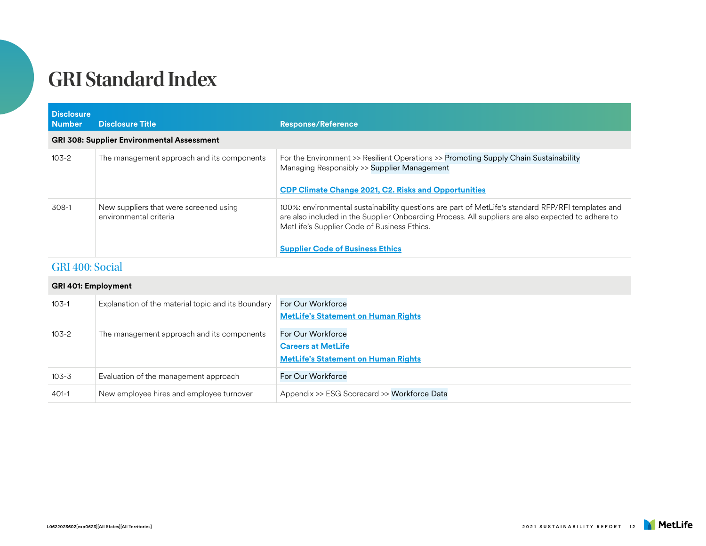| <b>Disclosure</b><br><b>Number</b>                | <b>Disclosure Title</b>                                          | <b>Response/Reference</b>                                                                                                                                                                                                                                                                         |
|---------------------------------------------------|------------------------------------------------------------------|---------------------------------------------------------------------------------------------------------------------------------------------------------------------------------------------------------------------------------------------------------------------------------------------------|
| <b>GRI 308: Supplier Environmental Assessment</b> |                                                                  |                                                                                                                                                                                                                                                                                                   |
| 103-2                                             | The management approach and its components                       | For the Environment >> Resilient Operations >> Promoting Supply Chain Sustainability<br>Managing Responsibly >> Supplier Management<br><b>CDP Climate Change 2021, C2. Risks and Opportunities</b>                                                                                                |
| 308-1                                             | New suppliers that were screened using<br>environmental criteria | 100%: environmental sustainability questions are part of MetLife's standard RFP/RFI templates and<br>are also included in the Supplier Onboarding Process. All suppliers are also expected to adhere to<br>MetLife's Supplier Code of Business Ethics.<br><b>Supplier Code of Business Ethics</b> |

#### GRI 400: Social

#### **GRI 401: Employment**

| $103-1$   | Explanation of the material topic and its Boundary | For Our Workforce<br><b>MetLife's Statement on Human Rights</b>                              |
|-----------|----------------------------------------------------|----------------------------------------------------------------------------------------------|
| $103-2$   | The management approach and its components         | For Our Workforce<br><b>Careers at MetLife</b><br><b>MetLife's Statement on Human Rights</b> |
| $103 - 3$ | Evaluation of the management approach              | For Our Workforce                                                                            |
| $401 - 1$ | New employee hires and employee turnover           | Appendix >> ESG Scorecard >> Workforce Data                                                  |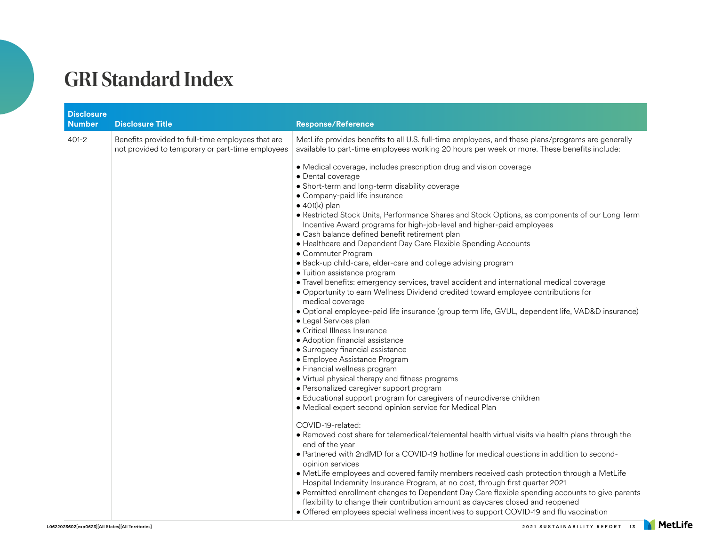| <b>Disclosure</b><br><b>Number</b> | <b>Disclosure Title</b>                                                                               | <b>Response/Reference</b>                                                                                                                                                                                                                                                                                                                                                                                                                                                                                                                                                                                                                                                                                                                                                                                                                                                                                                                                                                                                                                                                                                                                                                                                                                                                                                                                                                      |
|------------------------------------|-------------------------------------------------------------------------------------------------------|------------------------------------------------------------------------------------------------------------------------------------------------------------------------------------------------------------------------------------------------------------------------------------------------------------------------------------------------------------------------------------------------------------------------------------------------------------------------------------------------------------------------------------------------------------------------------------------------------------------------------------------------------------------------------------------------------------------------------------------------------------------------------------------------------------------------------------------------------------------------------------------------------------------------------------------------------------------------------------------------------------------------------------------------------------------------------------------------------------------------------------------------------------------------------------------------------------------------------------------------------------------------------------------------------------------------------------------------------------------------------------------------|
| $401 - 2$                          | Benefits provided to full-time employees that are<br>not provided to temporary or part-time employees | MetLife provides benefits to all U.S. full-time employees, and these plans/programs are generally<br>available to part-time employees working 20 hours per week or more. These benefits include:                                                                                                                                                                                                                                                                                                                                                                                                                                                                                                                                                                                                                                                                                                                                                                                                                                                                                                                                                                                                                                                                                                                                                                                               |
|                                    |                                                                                                       | • Medical coverage, includes prescription drug and vision coverage<br>· Dental coverage<br>• Short-term and long-term disability coverage<br>• Company-paid life insurance<br>$\bullet$ 401(k) plan<br>• Restricted Stock Units, Performance Shares and Stock Options, as components of our Long Term<br>Incentive Award programs for high-job-level and higher-paid employees<br>· Cash balance defined benefit retirement plan<br>• Healthcare and Dependent Day Care Flexible Spending Accounts<br>• Commuter Program<br>· Back-up child-care, elder-care and college advising program<br>• Tuition assistance program<br>• Travel benefits: emergency services, travel accident and international medical coverage<br>• Opportunity to earn Wellness Dividend credited toward employee contributions for<br>medical coverage<br>· Optional employee-paid life insurance (group term life, GVUL, dependent life, VAD&D insurance)<br>• Legal Services plan<br>• Critical Illness Insurance<br>· Adoption financial assistance<br>· Surrogacy financial assistance<br>• Employee Assistance Program<br>· Financial wellness program<br>• Virtual physical therapy and fitness programs<br>· Personalized caregiver support program<br>· Educational support program for caregivers of neurodiverse children<br>• Medical expert second opinion service for Medical Plan<br>COVID-19-related: |
|                                    |                                                                                                       | . Removed cost share for telemedical/telemental health virtual visits via health plans through the<br>end of the year<br>• Partnered with 2ndMD for a COVID-19 hotline for medical questions in addition to second-<br>opinion services                                                                                                                                                                                                                                                                                                                                                                                                                                                                                                                                                                                                                                                                                                                                                                                                                                                                                                                                                                                                                                                                                                                                                        |
|                                    |                                                                                                       | • MetLife employees and covered family members received cash protection through a MetLife<br>Hospital Indemnity Insurance Program, at no cost, through first quarter 2021                                                                                                                                                                                                                                                                                                                                                                                                                                                                                                                                                                                                                                                                                                                                                                                                                                                                                                                                                                                                                                                                                                                                                                                                                      |
|                                    |                                                                                                       | • Permitted enrollment changes to Dependent Day Care flexible spending accounts to give parents<br>flexibility to change their contribution amount as daycares closed and reopened<br>• Offered employees special wellness incentives to support COVID-19 and flu vaccination                                                                                                                                                                                                                                                                                                                                                                                                                                                                                                                                                                                                                                                                                                                                                                                                                                                                                                                                                                                                                                                                                                                  |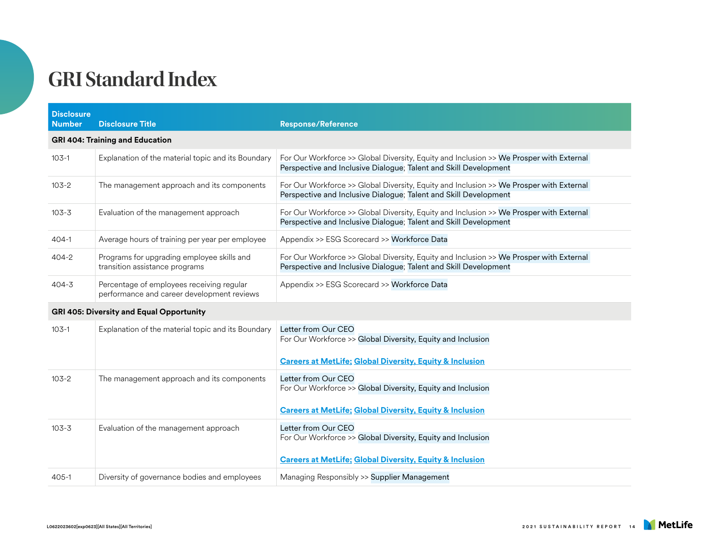| <b>Disclosure</b><br><b>Number</b> | <b>Disclosure Title</b>                                                                 | <b>Response/Reference</b>                                                                                                                                   |  |  |
|------------------------------------|-----------------------------------------------------------------------------------------|-------------------------------------------------------------------------------------------------------------------------------------------------------------|--|--|
|                                    | <b>GRI 404: Training and Education</b>                                                  |                                                                                                                                                             |  |  |
| $103-1$                            | Explanation of the material topic and its Boundary                                      | For Our Workforce >> Global Diversity, Equity and Inclusion >> We Prosper with External<br>Perspective and Inclusive Dialogue; Talent and Skill Development |  |  |
| $103 - 2$                          | The management approach and its components                                              | For Our Workforce >> Global Diversity, Equity and Inclusion >> We Prosper with External<br>Perspective and Inclusive Dialogue; Talent and Skill Development |  |  |
| $103 - 3$                          | Evaluation of the management approach                                                   | For Our Workforce >> Global Diversity, Equity and Inclusion >> We Prosper with External<br>Perspective and Inclusive Dialogue; Talent and Skill Development |  |  |
| $404-1$                            | Average hours of training per year per employee                                         | Appendix >> ESG Scorecard >> Workforce Data                                                                                                                 |  |  |
| $404 - 2$                          | Programs for upgrading employee skills and<br>transition assistance programs            | For Our Workforce >> Global Diversity, Equity and Inclusion >> We Prosper with External<br>Perspective and Inclusive Dialogue; Talent and Skill Development |  |  |
| $404 - 3$                          | Percentage of employees receiving regular<br>performance and career development reviews | Appendix >> ESG Scorecard >> Workforce Data                                                                                                                 |  |  |
|                                    | <b>GRI 405: Diversity and Equal Opportunity</b>                                         |                                                                                                                                                             |  |  |
| $103 - 1$                          | Explanation of the material topic and its Boundary                                      | Letter from Our CEO<br>For Our Workforce >> Global Diversity, Equity and Inclusion<br><b>Careers at MetLife; Global Diversity, Equity &amp; Inclusion</b>   |  |  |
| $103 - 2$                          | The management approach and its components                                              | Letter from Our CEO<br>For Our Workforce >> Global Diversity, Equity and Inclusion<br><b>Careers at MetLife: Global Diversity, Equity &amp; Inclusion</b>   |  |  |
| $103 - 3$                          | Evaluation of the management approach                                                   | Letter from Our CEO<br>For Our Workforce >> Global Diversity, Equity and Inclusion                                                                          |  |  |
|                                    |                                                                                         | <b>Careers at MetLife; Global Diversity, Equity &amp; Inclusion</b>                                                                                         |  |  |
| $405 - 1$                          | Diversity of governance bodies and employees                                            | Managing Responsibly >> Supplier Management                                                                                                                 |  |  |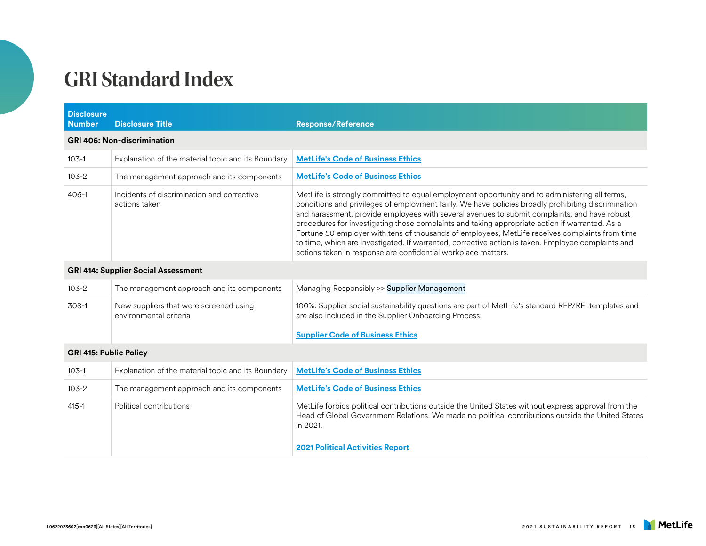| <b>Disclosure</b><br><b>Number</b>         | <b>Disclosure Title</b>                                          | <b>Response/Reference</b>                                                                                                                                                                                                                                                                                                                                                                                                                                                                                                                                                                                                                                                       |  |
|--------------------------------------------|------------------------------------------------------------------|---------------------------------------------------------------------------------------------------------------------------------------------------------------------------------------------------------------------------------------------------------------------------------------------------------------------------------------------------------------------------------------------------------------------------------------------------------------------------------------------------------------------------------------------------------------------------------------------------------------------------------------------------------------------------------|--|
|                                            | <b>GRI 406: Non-discrimination</b>                               |                                                                                                                                                                                                                                                                                                                                                                                                                                                                                                                                                                                                                                                                                 |  |
| $103-1$                                    | Explanation of the material topic and its Boundary               | <b>MetLife's Code of Business Ethics</b>                                                                                                                                                                                                                                                                                                                                                                                                                                                                                                                                                                                                                                        |  |
| $103 - 2$                                  | The management approach and its components                       | <b>MetLife's Code of Business Ethics</b>                                                                                                                                                                                                                                                                                                                                                                                                                                                                                                                                                                                                                                        |  |
| $406-1$                                    | Incidents of discrimination and corrective<br>actions taken      | MetLife is strongly committed to equal employment opportunity and to administering all terms,<br>conditions and privileges of employment fairly. We have policies broadly prohibiting discrimination<br>and harassment, provide employees with several avenues to submit complaints, and have robust<br>procedures for investigating those complaints and taking appropriate action if warranted. As a<br>Fortune 50 employer with tens of thousands of employees, MetLife receives complaints from time<br>to time, which are investigated. If warranted, corrective action is taken. Employee complaints and<br>actions taken in response are confidential workplace matters. |  |
| <b>GRI 414: Supplier Social Assessment</b> |                                                                  |                                                                                                                                                                                                                                                                                                                                                                                                                                                                                                                                                                                                                                                                                 |  |
| $103 - 2$                                  | The management approach and its components                       | Managing Responsibly >> Supplier Management                                                                                                                                                                                                                                                                                                                                                                                                                                                                                                                                                                                                                                     |  |
| $308-1$                                    | New suppliers that were screened using<br>environmental criteria | 100%: Supplier social sustainability questions are part of MetLife's standard RFP/RFI templates and<br>are also included in the Supplier Onboarding Process.<br><b>Supplier Code of Business Ethics</b>                                                                                                                                                                                                                                                                                                                                                                                                                                                                         |  |
| <b>GRI 415: Public Policy</b>              |                                                                  |                                                                                                                                                                                                                                                                                                                                                                                                                                                                                                                                                                                                                                                                                 |  |
| $103-1$                                    | Explanation of the material topic and its Boundary               | <b>MetLife's Code of Business Ethics</b>                                                                                                                                                                                                                                                                                                                                                                                                                                                                                                                                                                                                                                        |  |
| $103 - 2$                                  | The management approach and its components                       | <b>MetLife's Code of Business Ethics</b>                                                                                                                                                                                                                                                                                                                                                                                                                                                                                                                                                                                                                                        |  |
| $415 - 1$                                  | Political contributions                                          | MetLife forbids political contributions outside the United States without express approval from the<br>Head of Global Government Relations. We made no political contributions outside the United States<br>in 2021.<br><b>2021 Political Activities Report</b>                                                                                                                                                                                                                                                                                                                                                                                                                 |  |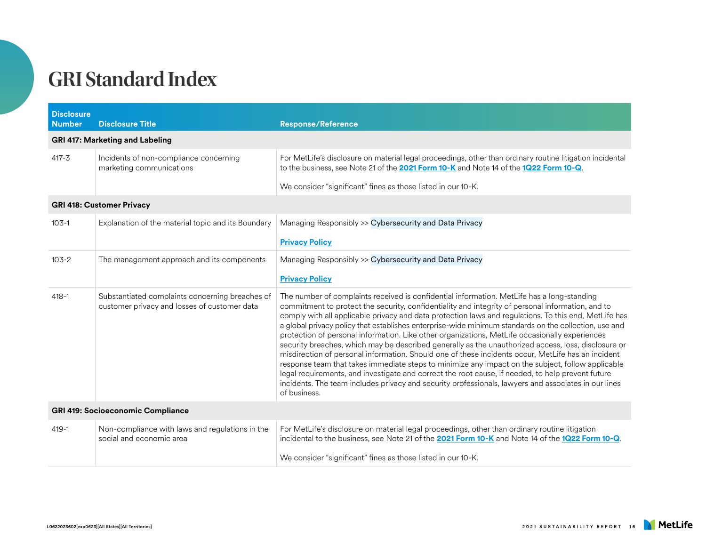| <b>Disclosure</b><br><b>Number</b>       | <b>Disclosure Title</b>                                                                         | <b>Response/Reference</b>                                                                                                                                                                                                                                                                                                                                                                                                                                                                                                                                                                                                                                                                                                                                                                                                                                                                                                                                                                                                                                          |
|------------------------------------------|-------------------------------------------------------------------------------------------------|--------------------------------------------------------------------------------------------------------------------------------------------------------------------------------------------------------------------------------------------------------------------------------------------------------------------------------------------------------------------------------------------------------------------------------------------------------------------------------------------------------------------------------------------------------------------------------------------------------------------------------------------------------------------------------------------------------------------------------------------------------------------------------------------------------------------------------------------------------------------------------------------------------------------------------------------------------------------------------------------------------------------------------------------------------------------|
|                                          | <b>GRI 417: Marketing and Labeling</b>                                                          |                                                                                                                                                                                                                                                                                                                                                                                                                                                                                                                                                                                                                                                                                                                                                                                                                                                                                                                                                                                                                                                                    |
| $417 - 3$                                | Incidents of non-compliance concerning<br>marketing communications                              | For MetLife's disclosure on material legal proceedings, other than ordinary routine litigation incidental<br>to the business, see Note 21 of the <b>2021 Form 10-K</b> and Note 14 of the 1Q22 Form 10-Q.                                                                                                                                                                                                                                                                                                                                                                                                                                                                                                                                                                                                                                                                                                                                                                                                                                                          |
|                                          |                                                                                                 | We consider "significant" fines as those listed in our 10-K.                                                                                                                                                                                                                                                                                                                                                                                                                                                                                                                                                                                                                                                                                                                                                                                                                                                                                                                                                                                                       |
| <b>GRI 418: Customer Privacy</b>         |                                                                                                 |                                                                                                                                                                                                                                                                                                                                                                                                                                                                                                                                                                                                                                                                                                                                                                                                                                                                                                                                                                                                                                                                    |
| $103-1$                                  | Explanation of the material topic and its Boundary                                              | Managing Responsibly >> Cybersecurity and Data Privacy                                                                                                                                                                                                                                                                                                                                                                                                                                                                                                                                                                                                                                                                                                                                                                                                                                                                                                                                                                                                             |
|                                          |                                                                                                 | <b>Privacy Policy</b>                                                                                                                                                                                                                                                                                                                                                                                                                                                                                                                                                                                                                                                                                                                                                                                                                                                                                                                                                                                                                                              |
| $103 - 2$                                | The management approach and its components                                                      | Managing Responsibly >> Cybersecurity and Data Privacy                                                                                                                                                                                                                                                                                                                                                                                                                                                                                                                                                                                                                                                                                                                                                                                                                                                                                                                                                                                                             |
|                                          |                                                                                                 | <b>Privacy Policy</b>                                                                                                                                                                                                                                                                                                                                                                                                                                                                                                                                                                                                                                                                                                                                                                                                                                                                                                                                                                                                                                              |
| $418 - 1$                                | Substantiated complaints concerning breaches of<br>customer privacy and losses of customer data | The number of complaints received is confidential information. MetLife has a long-standing<br>commitment to protect the security, confidentiality and integrity of personal information, and to<br>comply with all applicable privacy and data protection laws and regulations. To this end, MetLife has<br>a global privacy policy that establishes enterprise-wide minimum standards on the collection, use and<br>protection of personal information. Like other organizations, MetLife occasionally experiences<br>security breaches, which may be described generally as the unauthorized access, loss, disclosure or<br>misdirection of personal information. Should one of these incidents occur, MetLife has an incident<br>response team that takes immediate steps to minimize any impact on the subject, follow applicable<br>legal requirements, and investigate and correct the root cause, if needed, to help prevent future<br>incidents. The team includes privacy and security professionals, lawyers and associates in our lines<br>of business. |
| <b>GRI 419: Socioeconomic Compliance</b> |                                                                                                 |                                                                                                                                                                                                                                                                                                                                                                                                                                                                                                                                                                                                                                                                                                                                                                                                                                                                                                                                                                                                                                                                    |
| $419 - 1$                                | Non-compliance with laws and regulations in the<br>social and economic area                     | For MetLife's disclosure on material legal proceedings, other than ordinary routine litigation<br>incidental to the business, see Note 21 of the 2021 Form 10-K and Note 14 of the 1Q22 Form 10-Q.                                                                                                                                                                                                                                                                                                                                                                                                                                                                                                                                                                                                                                                                                                                                                                                                                                                                 |
|                                          |                                                                                                 | We consider "significant" fines as those listed in our 10-K.                                                                                                                                                                                                                                                                                                                                                                                                                                                                                                                                                                                                                                                                                                                                                                                                                                                                                                                                                                                                       |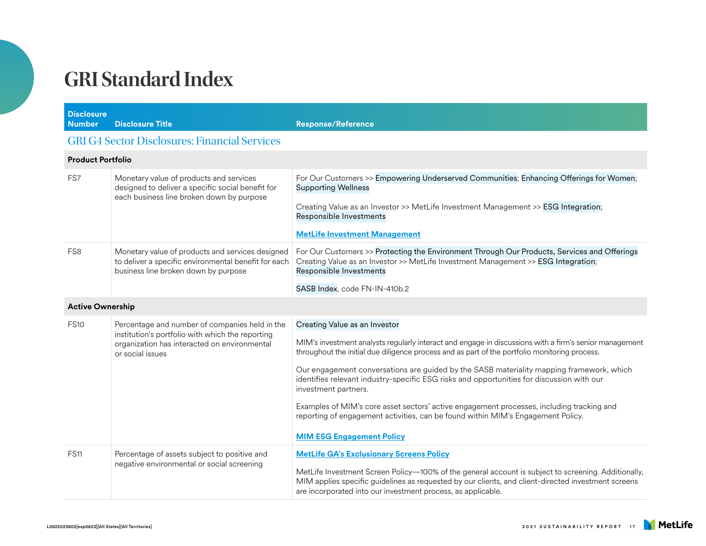| <b>Disclosure</b><br><b>Number</b> | <b>Disclosure Title</b>                                                                                                                                                | <b>Response/Reference</b>                                                                                                                                                                                                                                                  |  |
|------------------------------------|------------------------------------------------------------------------------------------------------------------------------------------------------------------------|----------------------------------------------------------------------------------------------------------------------------------------------------------------------------------------------------------------------------------------------------------------------------|--|
|                                    | <b>GRI G4 Sector Disclosures: Financial Services</b>                                                                                                                   |                                                                                                                                                                                                                                                                            |  |
| <b>Product Portfolio</b>           |                                                                                                                                                                        |                                                                                                                                                                                                                                                                            |  |
| FS7                                | Monetary value of products and services<br>designed to deliver a specific social benefit for<br>each business line broken down by purpose                              | For Our Customers >> Empowering Underserved Communities; Enhancing Offerings for Women;<br><b>Supporting Wellness</b>                                                                                                                                                      |  |
|                                    |                                                                                                                                                                        | Creating Value as an Investor >> MetLife Investment Management >> ESG Integration;<br>Responsible Investments                                                                                                                                                              |  |
|                                    |                                                                                                                                                                        | <b>MetLife Investment Management</b>                                                                                                                                                                                                                                       |  |
| FS <sub>8</sub>                    | Monetary value of products and services designed<br>to deliver a specific environmental benefit for each<br>business line broken down by purpose                       | For Our Customers >> Protecting the Environment Through Our Products, Services and Offerings<br>Creating Value as an Investor >> MetLife Investment Management >> ESG Integration;<br>Responsible Investments                                                              |  |
|                                    |                                                                                                                                                                        | SASB Index, code FN-IN-410b.2                                                                                                                                                                                                                                              |  |
| <b>Active Ownership</b>            |                                                                                                                                                                        |                                                                                                                                                                                                                                                                            |  |
| <b>FS10</b>                        | Percentage and number of companies held in the<br>institution's portfolio with which the reporting<br>organization has interacted on environmental<br>or social issues | Creating Value as an Investor                                                                                                                                                                                                                                              |  |
|                                    |                                                                                                                                                                        | MIM's investment analysts regularly interact and engage in discussions with a firm's senior management<br>throughout the initial due diligence process and as part of the portfolio monitoring process.                                                                    |  |
|                                    |                                                                                                                                                                        | Our engagement conversations are guided by the SASB materiality mapping framework, which<br>identifies relevant industry-specific ESG risks and opportunities for discussion with our<br>investment partners.                                                              |  |
|                                    |                                                                                                                                                                        | Examples of MIM's core asset sectors' active engagement processes, including tracking and<br>reporting of engagement activities, can be found within MIM's Engagement Policy.                                                                                              |  |
|                                    |                                                                                                                                                                        | <b>MIM ESG Engagement Policy</b>                                                                                                                                                                                                                                           |  |
| <b>FS11</b>                        | Percentage of assets subject to positive and<br>negative environmental or social screening                                                                             | <b>MetLife GA's Exclusionary Screens Policy</b>                                                                                                                                                                                                                            |  |
|                                    |                                                                                                                                                                        | MetLife Investment Screen Policy-100% of the general account is subject to screening. Additionally,<br>MIM applies specific guidelines as requested by our clients, and client-directed investment screens<br>are incorporated into our investment process, as applicable. |  |